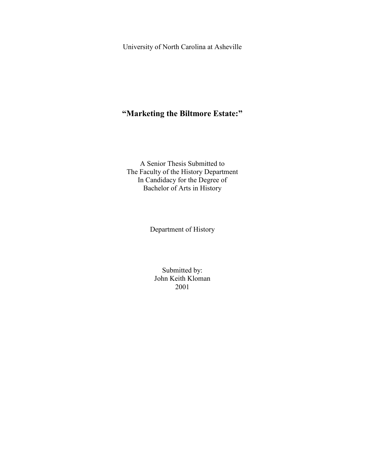University of North Carolina at Asheville

# **"Marketing the Biltmore Estate:"**

A Senior Thesis Submitted to The Faculty of the History Department In Candidacy for the Degree of Bachelor of Arts in History

Department of History

Submitted by: John Keith Kloman 2001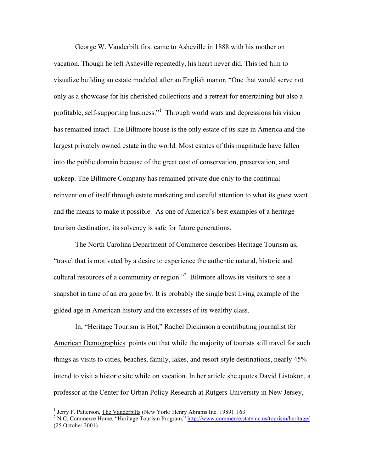George W. Vanderbilt first came to Asheville in 1888 with his mother on vacation. Though he left Asheville repeatedly, his heart never did. This led him to visualize building an estate modeled after an English manor, "One that would serve not only as a showcase for his cherished collections and a retreat for entertaining but also a profitable, self-supporting business."<sup>1</sup> Through world wars and depressions his vision has remained intact. The Biltmore house is the only estate of its size in America and the largest privately owned estate in the world. Most estates of this magnitude have fallen into the public domain because of the great cost of conservation, preservation, and upkeep. The Biltmore Company has remained private due only to the continual reinvention of itself through estate marketing and careful attention to what its guest want and the means to make it possible. As one of America's best examples of a heritage tourism destination, its solvency is safe for future generations.

The North Carolina Department of Commerce describes Heritage Tourism as, "travel that is motivated by a desire to experience the authentic natural, historic and cultural resources of a community or region."<sup>2</sup> Biltmore allows its visitors to see a snapshot in time of an era gone by. It is probably the single best living example of the gilded age in American history and the excesses of its wealthy class.

In, "Heritage Tourism is Hot," Rachel Dickinson a contributing journalist for American Demographics points out that while the majority of tourists still travel for such things as visits to cities, beaches, family, lakes, and resort-style destinations, nearly 45% intend to visit a historic site while on vacation. In her article she quotes David Listokon, a professor at the Center for Urban Policy Research at Rutgers University in New Jersey,

<sup>&</sup>lt;sup>1</sup> Jerry F. Patterson, The Vanderbilts (New York: Henry Abrams Inc. 1989). 163.

<sup>&</sup>lt;sup>2</sup> N.C. Commerce Home, "Heritage Tourism Program," http://www.commerce.state.nc.us/tourism/heritage/ (25 October 2001)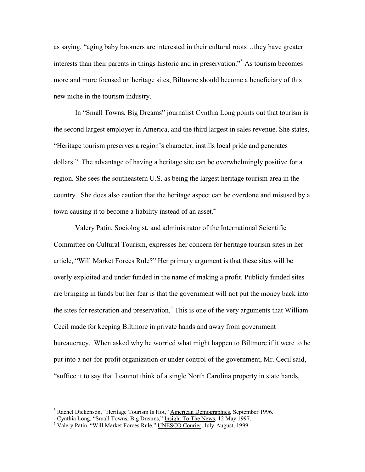as saying, "aging baby boomers are interested in their cultural roots…they have greater interests than their parents in things historic and in preservation."<sup>3</sup> As tourism becomes more and more focused on heritage sites, Biltmore should become a beneficiary of this new niche in the tourism industry.

In "Small Towns, Big Dreams" journalist Cynthia Long points out that tourism is the second largest employer in America, and the third largest in sales revenue. She states, "Heritage tourism preserves a region's character, instills local pride and generates dollars." The advantage of having a heritage site can be overwhelmingly positive for a region. She sees the southeastern U.S. as being the largest heritage tourism area in the country. She does also caution that the heritage aspect can be overdone and misused by a town causing it to become a liability instead of an asset.<sup>4</sup>

Valery Patin, Sociologist, and administrator of the International Scientific Committee on Cultural Tourism, expresses her concern for heritage tourism sites in her article, "Will Market Forces Rule?" Her primary argument is that these sites will be overly exploited and under funded in the name of making a profit. Publicly funded sites are bringing in funds but her fear is that the government will not put the money back into the sites for restoration and preservation.<sup>5</sup> This is one of the very arguments that William Cecil made for keeping Biltmore in private hands and away from government bureaucracy. When asked why he worried what might happen to Biltmore if it were to be put into a not-for-profit organization or under control of the government, Mr. Cecil said, "suffice it to say that I cannot think of a single North Carolina property in state hands,

<sup>&</sup>lt;sup>3</sup> Rachel Dickenson, "Heritage Tourism Is Hot," American Demographics, September 1996.

<sup>4</sup> Cynthia Long, "Small Towns, Big Dreams," Insight To The News, 12 May 1997.

<sup>&</sup>lt;sup>5</sup> Valery Patin, "Will Market Forces Rule," UNESCO Courier, July-August, 1999.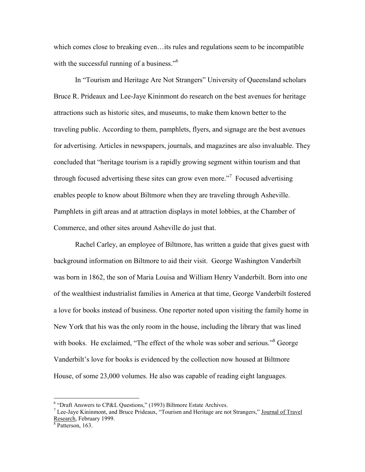which comes close to breaking even…its rules and regulations seem to be incompatible with the successful running of a business."<sup>6</sup>

In "Tourism and Heritage Are Not Strangers" University of Queensland scholars Bruce R. Prideaux and Lee-Jaye Kininmont do research on the best avenues for heritage attractions such as historic sites, and museums, to make them known better to the traveling public. According to them, pamphlets, flyers, and signage are the best avenues for advertising. Articles in newspapers, journals, and magazines are also invaluable. They concluded that "heritage tourism is a rapidly growing segment within tourism and that through focused advertising these sites can grow even more."<sup>7</sup> Focused advertising enables people to know about Biltmore when they are traveling through Asheville. Pamphlets in gift areas and at attraction displays in motel lobbies, at the Chamber of Commerce, and other sites around Asheville do just that.

Rachel Carley, an employee of Biltmore, has written a guide that gives guest with background information on Biltmore to aid their visit. George Washington Vanderbilt was born in 1862, the son of Maria Louisa and William Henry Vanderbilt. Born into one of the wealthiest industrialist families in America at that time, George Vanderbilt fostered a love for books instead of business. One reporter noted upon visiting the family home in New York that his was the only room in the house, including the library that was lined with books. He exclaimed, "The effect of the whole was sober and serious."<sup>8</sup> George Vanderbilt's love for books is evidenced by the collection now housed at Biltmore House, of some 23,000 volumes. He also was capable of reading eight languages.

<sup>&</sup>lt;sup>6</sup> "Draft Answers to CP&L Questions," (1993) Biltmore Estate Archives.

<sup>&</sup>lt;sup>7</sup> Lee-Jaye Kininmont, and Bruce Prideaux, "Tourism and Heritage are not Strangers," Journal of Travel Research, February 1999.

<sup>8</sup> Patterson, 163.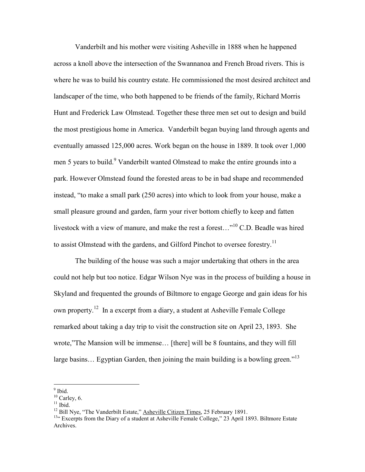Vanderbilt and his mother were visiting Asheville in 1888 when he happened across a knoll above the intersection of the Swannanoa and French Broad rivers. This is where he was to build his country estate. He commissioned the most desired architect and landscaper of the time, who both happened to be friends of the family, Richard Morris Hunt and Frederick Law Olmstead. Together these three men set out to design and build the most prestigious home in America. Vanderbilt began buying land through agents and eventually amassed 125,000 acres. Work began on the house in 1889. It took over 1,000 men 5 years to build.<sup>9</sup> Vanderbilt wanted Olmstead to make the entire grounds into a park. However Olmstead found the forested areas to be in bad shape and recommended instead, "to make a small park (250 acres) into which to look from your house, make a small pleasure ground and garden, farm your river bottom chiefly to keep and fatten livestock with a view of manure, and make the rest a forest…"<sup>10</sup> C.D. Beadle was hired to assist Olmstead with the gardens, and Gilford Pinchot to oversee forestry.<sup>11</sup>

The building of the house was such a major undertaking that others in the area could not help but too notice. Edgar Wilson Nye was in the process of building a house in Skyland and frequented the grounds of Biltmore to engage George and gain ideas for his own property.<sup>12</sup> In a excerpt from a diary, a student at Asheville Female College remarked about taking a day trip to visit the construction site on April 23, 1893. She wrote,"The Mansion will be immense… [there] will be 8 fountains, and they will fill large basins... Egyptian Garden, then joining the main building is a bowling green."<sup>13</sup>

 $11$  Ibid.

 $\overline{9}$  Ibid.

 $10$  Carley, 6.

<sup>&</sup>lt;sup>12</sup> Bill Nye, "The Vanderbilt Estate," Asheville Citizen Times, 25 February 1891.

<sup>&</sup>lt;sup>13"</sup> Excerpts from the Diary of a student at Asheville Female College," 23 April 1893. Biltmore Estate Archives.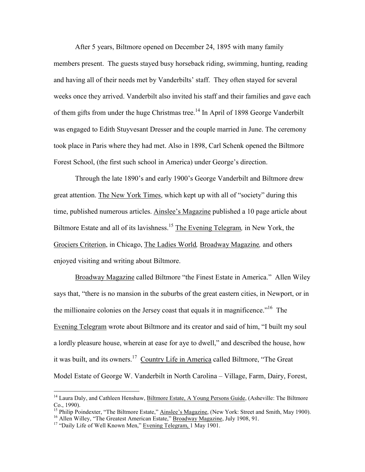After 5 years, Biltmore opened on December 24, 1895 with many family members present. The guests stayed busy horseback riding, swimming, hunting, reading and having all of their needs met by Vanderbilts' staff. They often stayed for several weeks once they arrived. Vanderbilt also invited his staff and their families and gave each of them gifts from under the huge Christmas tree.<sup>14</sup> In April of 1898 George Vanderbilt was engaged to Edith Stuyvesant Dresser and the couple married in June. The ceremony took place in Paris where they had met. Also in 1898, Carl Schenk opened the Biltmore Forest School, (the first such school in America) under George's direction.

Through the late 1890's and early 1900's George Vanderbilt and Biltmore drew great attention. The New York Times, which kept up with all of "society" during this time, published numerous articles. Ainslee's Magazine published a 10 page article about Biltmore Estate and all of its lavishness.<sup>15</sup> The Evening Telegram*,* in New York, the Grociers Criterion, in Chicago, The Ladies World*,* Broadway Magazine*,* and others enjoyed visiting and writing about Biltmore.

Broadway Magazine called Biltmore "the Finest Estate in America." Allen Wiley says that, "there is no mansion in the suburbs of the great eastern cities, in Newport, or in the millionaire colonies on the Jersey coast that equals it in magnificence.<sup>"16</sup> The Evening Telegram wrote about Biltmore and its creator and said of him, "I built my soul a lordly pleasure house, wherein at ease for aye to dwell," and described the house, how it was built, and its owners.<sup>17</sup> Country Life in America called Biltmore, "The Great Model Estate of George W. Vanderbilt in North Carolina – Village, Farm, Dairy, Forest,

<sup>&</sup>lt;sup>14</sup> Laura Daly, and Cathleen Henshaw, Biltmore Estate, A Young Persons Guide, (Asheville: The Biltmore Co., 1990).

<sup>&</sup>lt;sup>15</sup> Philip Poindexter, "The Biltmore Estate," Ainslee's Magazine, (New York: Street and Smith, May 1900). <sup>16</sup> Allen Willey, "The Greatest American Estate," **Broadway Magazine**, July 1908, 91.

<sup>&</sup>lt;sup>17</sup> "Daily Life of Well Known Men," Evening Telegram, <sup>1</sup> May 1901.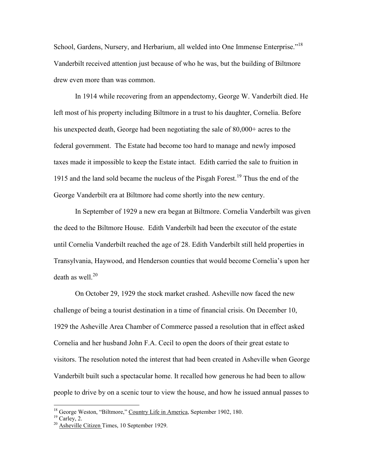School, Gardens, Nursery, and Herbarium, all welded into One Immense Enterprise."<sup>18</sup> Vanderbilt received attention just because of who he was, but the building of Biltmore drew even more than was common.

In 1914 while recovering from an appendectomy, George W. Vanderbilt died. He left most of his property including Biltmore in a trust to his daughter, Cornelia. Before his unexpected death, George had been negotiating the sale of 80,000+ acres to the federal government. The Estate had become too hard to manage and newly imposed taxes made it impossible to keep the Estate intact. Edith carried the sale to fruition in 1915 and the land sold became the nucleus of the Pisgah Forest.<sup>19</sup> Thus the end of the George Vanderbilt era at Biltmore had come shortly into the new century.

In September of 1929 a new era began at Biltmore. Cornelia Vanderbilt was given the deed to the Biltmore House. Edith Vanderbilt had been the executor of the estate until Cornelia Vanderbilt reached the age of 28. Edith Vanderbilt still held properties in Transylvania, Haywood, and Henderson counties that would become Cornelia's upon her death as well. $^{20}$ 

On October 29, 1929 the stock market crashed. Asheville now faced the new challenge of being a tourist destination in a time of financial crisis. On December 10, 1929 the Asheville Area Chamber of Commerce passed a resolution that in effect asked Cornelia and her husband John F.A. Cecil to open the doors of their great estate to visitors. The resolution noted the interest that had been created in Asheville when George Vanderbilt built such a spectacular home. It recalled how generous he had been to allow people to drive by on a scenic tour to view the house, and how he issued annual passes to

<sup>&</sup>lt;sup>18</sup> George Weston, "Biltmore," Country Life in America, September 1902, 180.

 $19$  Carley, 2.

 $20$  Asheville Citizen Times, 10 September 1929.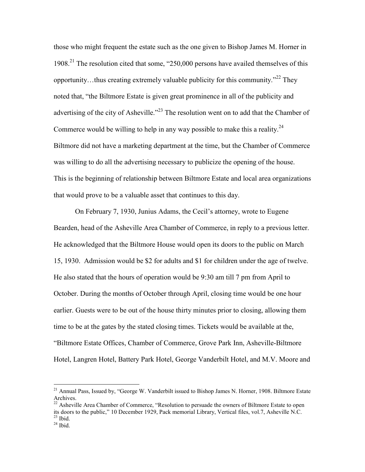those who might frequent the estate such as the one given to Bishop James M. Horner in 1908.<sup>21</sup> The resolution cited that some, "250,000 persons have availed themselves of this opportunity...thus creating extremely valuable publicity for this community."<sup>22</sup> They noted that, "the Biltmore Estate is given great prominence in all of the publicity and advertising of the city of Asheville.<sup>"23</sup> The resolution went on to add that the Chamber of Commerce would be willing to help in any way possible to make this a reality.<sup>24</sup> Biltmore did not have a marketing department at the time, but the Chamber of Commerce was willing to do all the advertising necessary to publicize the opening of the house. This is the beginning of relationship between Biltmore Estate and local area organizations that would prove to be a valuable asset that continues to this day.

On February 7, 1930, Junius Adams, the Cecil's attorney, wrote to Eugene Bearden, head of the Asheville Area Chamber of Commerce, in reply to a previous letter. He acknowledged that the Biltmore House would open its doors to the public on March 15, 1930. Admission would be \$2 for adults and \$1 for children under the age of twelve. He also stated that the hours of operation would be 9:30 am till 7 pm from April to October. During the months of October through April, closing time would be one hour earlier. Guests were to be out of the house thirty minutes prior to closing, allowing them time to be at the gates by the stated closing times. Tickets would be available at the, "Biltmore Estate Offices, Chamber of Commerce, Grove Park Inn, Asheville-Biltmore Hotel, Langren Hotel, Battery Park Hotel, George Vanderbilt Hotel, and M.V. Moore and

<sup>&</sup>lt;sup>21</sup> Annual Pass, Issued by, "George W. Vanderbilt issued to Bishop James N. Horner, 1908. Biltmore Estate Archives.

<sup>&</sup>lt;sup>22</sup> Asheville Area Chamber of Commerce, "Resolution to persuade the owners of Biltmore Estate to open its doors to the public," 10 December 1929, Pack memorial Library, Vertical files, vol.7, Asheville N.C.  $23$  Ibid.

 $24$  Ibid.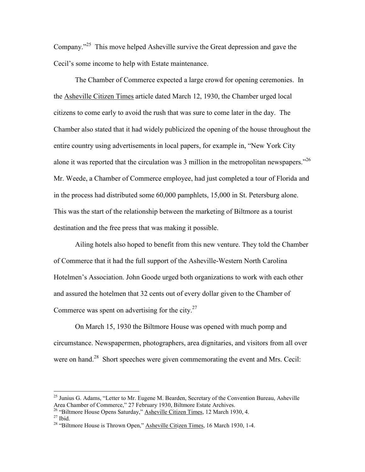Company."<sup>25</sup> This move helped Asheville survive the Great depression and gave the Cecil's some income to help with Estate maintenance.

The Chamber of Commerce expected a large crowd for opening ceremonies. In the Asheville Citizen Times article dated March 12, 1930, the Chamber urged local citizens to come early to avoid the rush that was sure to come later in the day. The Chamber also stated that it had widely publicized the opening of the house throughout the entire country using advertisements in local papers, for example in, "New York City alone it was reported that the circulation was 3 million in the metropolitan newspapers.<sup> $26$ </sup> Mr. Weede, a Chamber of Commerce employee, had just completed a tour of Florida and in the process had distributed some 60,000 pamphlets, 15,000 in St. Petersburg alone. This was the start of the relationship between the marketing of Biltmore as a tourist destination and the free press that was making it possible.

Ailing hotels also hoped to benefit from this new venture. They told the Chamber of Commerce that it had the full support of the Asheville-Western North Carolina Hotelmen's Association. John Goode urged both organizations to work with each other and assured the hotelmen that 32 cents out of every dollar given to the Chamber of Commerce was spent on advertising for the city. $27$ 

On March 15, 1930 the Biltmore House was opened with much pomp and circumstance. Newspapermen, photographers, area dignitaries, and visitors from all over were on hand.<sup>28</sup> Short speeches were given commemorating the event and Mrs. Cecil:

<sup>26</sup> "Biltmore House Opens Saturday," **Asheville Citizen Times**, 12 March 1930, 4.

<sup>&</sup>lt;sup>25</sup> Junius G. Adams, "Letter to Mr. Eugene M. Bearden, Secretary of the Convention Bureau, Asheville Area Chamber of Commerce," 27 February 1930, Biltmore Estate Archives.

 $27$  Ibid.

<sup>&</sup>lt;sup>28</sup> "Biltmore House is Thrown Open," Asheville Citizen Times, 16 March 1930, 1-4.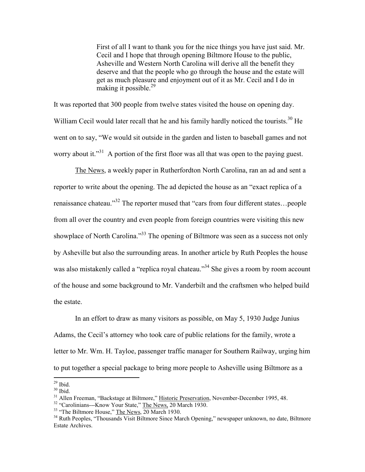First of all I want to thank you for the nice things you have just said. Mr. Cecil and I hope that through opening Biltmore House to the public, Asheville and Western North Carolina will derive all the benefit they deserve and that the people who go through the house and the estate will get as much pleasure and enjoyment out of it as Mr. Cecil and I do in making it possible.<sup>29</sup>

It was reported that 300 people from twelve states visited the house on opening day. William Cecil would later recall that he and his family hardly noticed the tourists.<sup>30</sup> He went on to say, "We would sit outside in the garden and listen to baseball games and not worry about it."<sup>31</sup> A portion of the first floor was all that was open to the paying guest.

The News, a weekly paper in Rutherfordton North Carolina, ran an ad and sent a reporter to write about the opening. The ad depicted the house as an "exact replica of a renaissance chateau."<sup>32</sup> The reporter mused that "cars from four different states…people from all over the country and even people from foreign countries were visiting this new showplace of North Carolina."<sup>33</sup> The opening of Biltmore was seen as a success not only by Asheville but also the surrounding areas. In another article by Ruth Peoples the house was also mistakenly called a "replica royal chateau."<sup>34</sup> She gives a room by room account of the house and some background to Mr. Vanderbilt and the craftsmen who helped build the estate.

In an effort to draw as many visitors as possible, on May 5, 1930 Judge Junius Adams, the Cecil's attorney who took care of public relations for the family, wrote a letter to Mr. Wm. H. Tayloe, passenger traffic manager for Southern Railway, urging him to put together a special package to bring more people to Asheville using Biltmore as a

 $29$  Ibid.

 $30$  Ibid.

<sup>&</sup>lt;sup>31</sup> Allen Freeman, "Backstage at Biltmore," Historic Preservation, November-December 1995, 48.

<sup>&</sup>lt;sup>32</sup> "Carolinians---Know Your State," The News, 20 March 1930.

<sup>&</sup>lt;sup>33</sup> "The Biltmore House," The News, 20 March 1930.

<sup>&</sup>lt;sup>34</sup> Ruth Peoples, "Thousands Visit Biltmore Since March Opening," newspaper unknown, no date, Biltmore Estate Archives.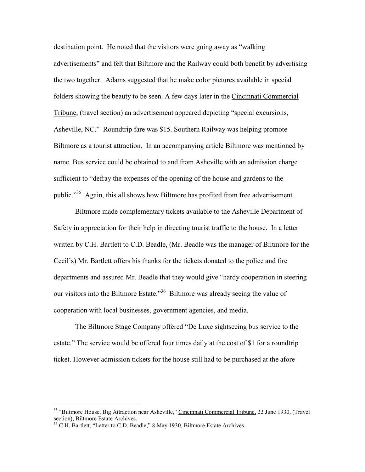destination point. He noted that the visitors were going away as "walking advertisements" and felt that Biltmore and the Railway could both benefit by advertising the two together. Adams suggested that he make color pictures available in special folders showing the beauty to be seen. A few days later in the Cincinnati Commercial Tribune, (travel section) an advertisement appeared depicting "special excursions, Asheville, NC." Roundtrip fare was \$15. Southern Railway was helping promote Biltmore as a tourist attraction. In an accompanying article Biltmore was mentioned by name. Bus service could be obtained to and from Asheville with an admission charge sufficient to "defray the expenses of the opening of the house and gardens to the public."<sup>35</sup> Again, this all shows how Biltmore has profited from free advertisement.

Biltmore made complementary tickets available to the Asheville Department of Safety in appreciation for their help in directing tourist traffic to the house. In a letter written by C.H. Bartlett to C.D. Beadle, (Mr. Beadle was the manager of Biltmore for the Cecil's) Mr. Bartlett offers his thanks for the tickets donated to the police and fire departments and assured Mr. Beadle that they would give "hardy cooperation in steering our visitors into the Biltmore Estate."<sup>36</sup> Biltmore was already seeing the value of cooperation with local businesses, government agencies, and media.

The Biltmore Stage Company offered "De Luxe sightseeing bus service to the estate." The service would be offered four times daily at the cost of \$1 for a roundtrip ticket. However admission tickets for the house still had to be purchased at the afore

<sup>&</sup>lt;sup>35</sup> "Biltmore House, Big Attraction near Asheville," Cincinnati Commercial Tribune, 22 June 1930, (Travel section), Biltmore Estate Archives.

<sup>&</sup>lt;sup>36</sup> C.H. Bartlett, "Letter to C.D. Beadle," 8 May 1930, Biltmore Estate Archives.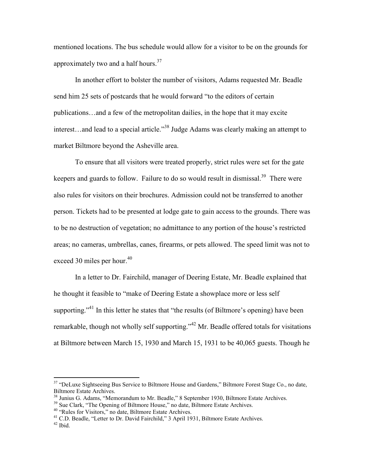mentioned locations. The bus schedule would allow for a visitor to be on the grounds for approximately two and a half hours.<sup>37</sup>

In another effort to bolster the number of visitors, Adams requested Mr. Beadle send him 25 sets of postcards that he would forward "to the editors of certain publications…and a few of the metropolitan dailies, in the hope that it may excite interest...and lead to a special article.<sup>38</sup> Judge Adams was clearly making an attempt to market Biltmore beyond the Asheville area.

To ensure that all visitors were treated properly, strict rules were set for the gate keepers and guards to follow. Failure to do so would result in dismissal.<sup>39</sup> There were also rules for visitors on their brochures. Admission could not be transferred to another person. Tickets had to be presented at lodge gate to gain access to the grounds. There was to be no destruction of vegetation; no admittance to any portion of the house's restricted areas; no cameras, umbrellas, canes, firearms, or pets allowed. The speed limit was not to exceed 30 miles per hour.<sup>40</sup>

In a letter to Dr. Fairchild, manager of Deering Estate, Mr. Beadle explained that he thought it feasible to "make of Deering Estate a showplace more or less self supporting."<sup>41</sup> In this letter he states that "the results (of Biltmore's opening) have been remarkable, though not wholly self supporting."<sup>42</sup> Mr. Beadle offered totals for visitations at Biltmore between March 15, 1930 and March 15, 1931 to be 40,065 guests. Though he

<sup>&</sup>lt;sup>37</sup> "DeLuxe Sightseeing Bus Service to Biltmore House and Gardens," Biltmore Forest Stage Co., no date, Biltmore Estate Archives.

<sup>&</sup>lt;sup>38</sup> Junius G. Adams, "Memorandum to Mr. Beadle," 8 September 1930, Biltmore Estate Archives.

<sup>&</sup>lt;sup>39</sup> Sue Clark, "The Opening of Biltmore House," no date, Biltmore Estate Archives.

<sup>40</sup> "Rules for Visitors," no date, Biltmore Estate Archives.

<sup>&</sup>lt;sup>41</sup> C.D. Beadle, "Letter to Dr. David Fairchild," 3 April 1931, Biltmore Estate Archives.

 $42$  Ibid.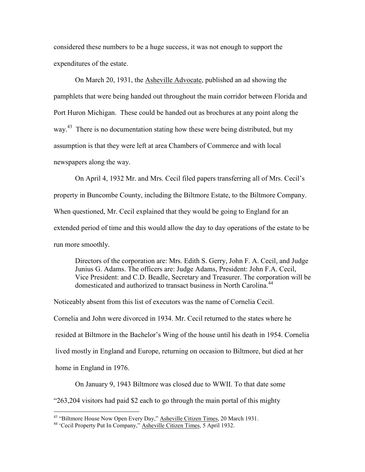considered these numbers to be a huge success, it was not enough to support the expenditures of the estate.

On March 20, 1931, the Asheville Advocate, published an ad showing the pamphlets that were being handed out throughout the main corridor between Florida and Port Huron Michigan. These could be handed out as brochures at any point along the way.<sup>43</sup> There is no documentation stating how these were being distributed, but my assumption is that they were left at area Chambers of Commerce and with local newspapers along the way.

On April 4, 1932 Mr. and Mrs. Cecil filed papers transferring all of Mrs. Cecil's property in Buncombe County, including the Biltmore Estate, to the Biltmore Company. When questioned, Mr. Cecil explained that they would be going to England for an extended period of time and this would allow the day to day operations of the estate to be run more smoothly.

Directors of the corporation are: Mrs. Edith S. Gerry, John F. A. Cecil, and Judge Junius G. Adams. The officers are: Judge Adams, President: John F.A. Cecil, Vice President: and C.D. Beadle, Secretary and Treasurer. The corporation will be domesticated and authorized to transact business in North Carolina.<sup>44</sup>

Noticeably absent from this list of executors was the name of Cornelia Cecil. Cornelia and John were divorced in 1934. Mr. Cecil returned to the states where he resided at Biltmore in the Bachelor's Wing of the house until his death in 1954. Cornelia lived mostly in England and Europe, returning on occasion to Biltmore, but died at her home in England in 1976.

On January 9, 1943 Biltmore was closed due to WWII. To that date some "263,204 visitors had paid \$2 each to go through the main portal of this mighty

<sup>&</sup>lt;sup>43</sup> "Biltmore House Now Open Every Day," Asheville Citizen Times, 20 March 1931.

<sup>&</sup>lt;sup>44</sup> 'Cecil Property Put In Company," Asheville Citizen Times, 5 April 1932.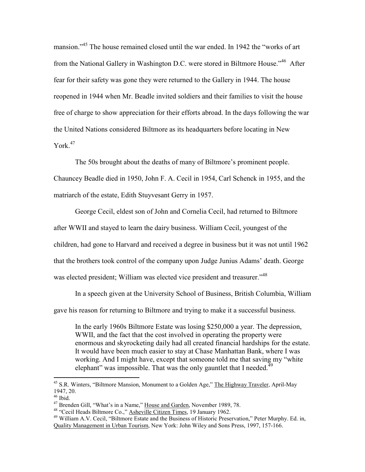mansion.<sup>345</sup> The house remained closed until the war ended. In 1942 the "works of art" from the National Gallery in Washington D.C. were stored in Biltmore House."<sup>46</sup> After fear for their safety was gone they were returned to the Gallery in 1944. The house reopened in 1944 when Mr. Beadle invited soldiers and their families to visit the house free of charge to show appreciation for their efforts abroad. In the days following the war the United Nations considered Biltmore as its headquarters before locating in New York $47$ 

The 50s brought about the deaths of many of Biltmore's prominent people. Chauncey Beadle died in 1950, John F. A. Cecil in 1954, Carl Schenck in 1955, and the matriarch of the estate, Edith Stuyvesant Gerry in 1957.

George Cecil, eldest son of John and Cornelia Cecil, had returned to Biltmore after WWII and stayed to learn the dairy business. William Cecil, youngest of the children, had gone to Harvard and received a degree in business but it was not until 1962 that the brothers took control of the company upon Judge Junius Adams' death. George was elected president; William was elected vice president and treasurer."<sup>48</sup>

In a speech given at the University School of Business, British Columbia, William gave his reason for returning to Biltmore and trying to make it a successful business.

In the early 1960s Biltmore Estate was losing \$250,000 a year. The depression, WWII, and the fact that the cost involved in operating the property were enormous and skyrocketing daily had all created financial hardships for the estate. It would have been much easier to stay at Chase Manhattan Bank, where I was working. And I might have, except that someone told me that saving my "white elephant" was impossible. That was the only gauntlet that I needed.<sup>49</sup>

<sup>&</sup>lt;sup>45</sup> S.R. Winters, "Biltmore Mansion, Monument to a Golden Age," The Highway Traveler, April-May 1947, 20.

<sup>46</sup> Ibid.

<sup>&</sup>lt;sup>47</sup> Brenden Gill, "What's in a Name," House and Garden, November 1989, 78.

<sup>48</sup> "Cecil Heads Biltmore Co.," Asheville Citizen Times, 19 January 1962.

<sup>&</sup>lt;sup>49</sup> William A.V. Cecil, "Biltmore Estate and the Business of Historic Preservation," Peter Murphy. Ed. in, Quality Management in Urban Tourism, New York: John Wiley and Sons Press, 1997, 157-166.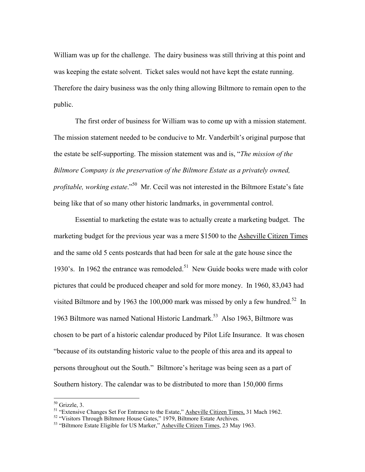William was up for the challenge. The dairy business was still thriving at this point and was keeping the estate solvent. Ticket sales would not have kept the estate running. Therefore the dairy business was the only thing allowing Biltmore to remain open to the public.

The first order of business for William was to come up with a mission statement. The mission statement needed to be conducive to Mr. Vanderbilt's original purpose that the estate be self-supporting. The mission statement was and is, "*The mission of the Biltmore Company is the preservation of the Biltmore Estate as a privately owned, profitable, working estate.*"<sup>50</sup> Mr. Cecil was not interested in the Biltmore Estate's fate being like that of so many other historic landmarks, in governmental control.

Essential to marketing the estate was to actually create a marketing budget. The marketing budget for the previous year was a mere \$1500 to the Asheville Citizen Times and the same old 5 cents postcards that had been for sale at the gate house since the 1930's. In 1962 the entrance was remodeled.<sup>51</sup> New Guide books were made with color pictures that could be produced cheaper and sold for more money. In 1960, 83,043 had visited Biltmore and by 1963 the 100,000 mark was missed by only a few hundred.<sup>52</sup> In 1963 Biltmore was named National Historic Landmark.<sup>53</sup> Also 1963, Biltmore was chosen to be part of a historic calendar produced by Pilot Life Insurance. It was chosen "because of its outstanding historic value to the people of this area and its appeal to persons throughout out the South." Biltmore's heritage was being seen as a part of Southern history. The calendar was to be distributed to more than 150,000 firms

 $50$  Grizzle, 3.

 $51$  "Extensive Changes Set For Entrance to the Estate," Asheville Citizen Times, 31 Mach 1962.

<sup>&</sup>lt;sup>52</sup> "Visitors Through Biltmore House Gates," 1979, Biltmore Estate Archives.

<sup>&</sup>lt;sup>53</sup> "Biltmore Estate Eligible for US Marker," Asheville Citizen Times, 23 May 1963.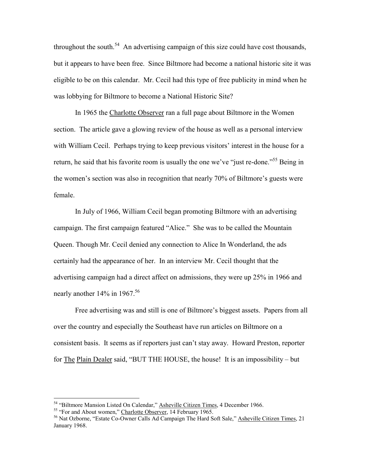throughout the south.<sup>54</sup> An advertising campaign of this size could have cost thousands, but it appears to have been free. Since Biltmore had become a national historic site it was eligible to be on this calendar. Mr. Cecil had this type of free publicity in mind when he was lobbying for Biltmore to become a National Historic Site?

In 1965 the Charlotte Observer ran a full page about Biltmore in the Women section. The article gave a glowing review of the house as well as a personal interview with William Cecil. Perhaps trying to keep previous visitors' interest in the house for a return, he said that his favorite room is usually the one we've "just re-done."<sup>55</sup> Being in the women's section was also in recognition that nearly 70% of Biltmore's guests were female.

In July of 1966, William Cecil began promoting Biltmore with an advertising campaign. The first campaign featured "Alice." She was to be called the Mountain Queen. Though Mr. Cecil denied any connection to Alice In Wonderland, the ads certainly had the appearance of her. In an interview Mr. Cecil thought that the advertising campaign had a direct affect on admissions, they were up 25% in 1966 and nearly another  $14\%$  in  $1967$ .<sup>56</sup>

Free advertising was and still is one of Biltmore's biggest assets. Papers from all over the country and especially the Southeast have run articles on Biltmore on a consistent basis. It seems as if reporters just can't stay away. Howard Preston, reporter for The Plain Dealer said, "BUT THE HOUSE, the house! It is an impossibility – but

<sup>54</sup> "Biltmore Mansion Listed On Calendar," Asheville Citizen Times, 4 December 1966.

<sup>&</sup>lt;sup>55</sup> "For and About women," Charlotte Observer, 14 February 1965.

<sup>&</sup>lt;sup>56</sup> Nat Ozborne, "Estate Co-Owner Calls Ad Campaign The Hard Soft Sale," Asheville Citizen Times, 21 January 1968.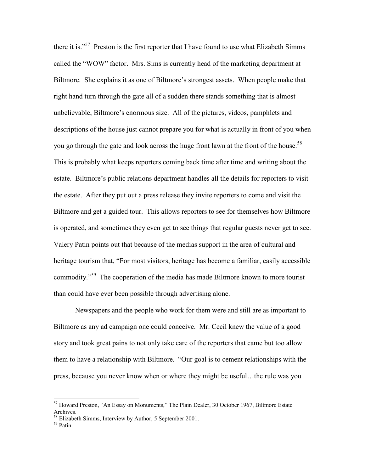there it is."<sup>57</sup> Preston is the first reporter that I have found to use what Elizabeth Simms called the "WOW" factor. Mrs. Sims is currently head of the marketing department at Biltmore. She explains it as one of Biltmore's strongest assets. When people make that right hand turn through the gate all of a sudden there stands something that is almost unbelievable, Biltmore's enormous size. All of the pictures, videos, pamphlets and descriptions of the house just cannot prepare you for what is actually in front of you when you go through the gate and look across the huge front lawn at the front of the house.<sup>58</sup> This is probably what keeps reporters coming back time after time and writing about the estate. Biltmore's public relations department handles all the details for reporters to visit the estate. After they put out a press release they invite reporters to come and visit the Biltmore and get a guided tour. This allows reporters to see for themselves how Biltmore is operated, and sometimes they even get to see things that regular guests never get to see. Valery Patin points out that because of the medias support in the area of cultural and heritage tourism that, "For most visitors, heritage has become a familiar, easily accessible commodity."<sup>59</sup> The cooperation of the media has made Biltmore known to more tourist than could have ever been possible through advertising alone.

Newspapers and the people who work for them were and still are as important to Biltmore as any ad campaign one could conceive. Mr. Cecil knew the value of a good story and took great pains to not only take care of the reporters that came but too allow them to have a relationship with Biltmore. "Our goal is to cement relationships with the press, because you never know when or where they might be useful…the rule was you

<sup>&</sup>lt;sup>57</sup> Howard Preston, "An Essay on Monuments," The Plain Dealer, 30 October 1967, Biltmore Estate Archives.

<sup>58</sup> Elizabeth Simms, Interview by Author, 5 September 2001.

 $59$  Patin.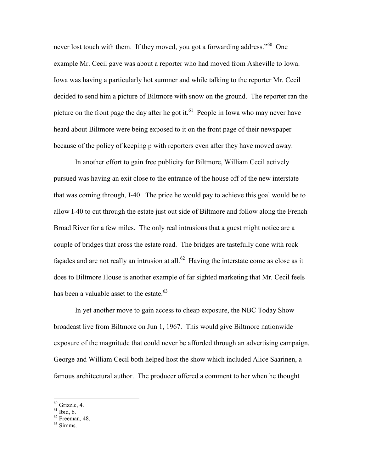never lost touch with them. If they moved, you got a forwarding address."<sup>60</sup> One example Mr. Cecil gave was about a reporter who had moved from Asheville to Iowa. Iowa was having a particularly hot summer and while talking to the reporter Mr. Cecil decided to send him a picture of Biltmore with snow on the ground. The reporter ran the picture on the front page the day after he got it.<sup>61</sup> People in Iowa who may never have heard about Biltmore were being exposed to it on the front page of their newspaper because of the policy of keeping p with reporters even after they have moved away.

In another effort to gain free publicity for Biltmore, William Cecil actively pursued was having an exit close to the entrance of the house off of the new interstate that was coming through, I-40. The price he would pay to achieve this goal would be to allow I-40 to cut through the estate just out side of Biltmore and follow along the French Broad River for a few miles. The only real intrusions that a guest might notice are a couple of bridges that cross the estate road. The bridges are tastefully done with rock façades and are not really an intrusion at all.<sup>62</sup> Having the interstate come as close as it does to Biltmore House is another example of far sighted marketing that Mr. Cecil feels has been a valuable asset to the estate. $63$ 

In yet another move to gain access to cheap exposure, the NBC Today Show broadcast live from Biltmore on Jun 1, 1967. This would give Biltmore nationwide exposure of the magnitude that could never be afforded through an advertising campaign. George and William Cecil both helped host the show which included Alice Saarinen, a famous architectural author. The producer offered a comment to her when he thought

 $60$  Grizzle, 4.

 $61$  Ibid,  $6$ .

 $62$  Freeman, 48.

<sup>63</sup> Simms.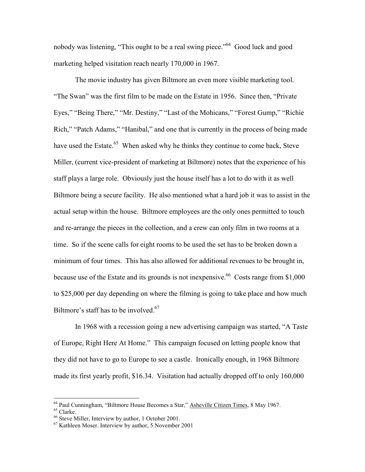nobody was listening, "This ought to be a real swing piece."<sup>64</sup> Good luck and good marketing helped visitation reach nearly 170,000 in 1967.

The movie industry has given Biltmore an even more visible marketing tool. "The Swan" was the first film to be made on the Estate in 1956. Since then, "Private Eyes," "Being There," "Mr. Destiny," "Last of the Mohicans," "Forest Gump," "Richie Rich," "Patch Adams," "Hanibal," and one that is currently in the process of being made have used the Estate.<sup>65</sup> When asked why he thinks they continue to come back, Steve Miller, (current vice-president of marketing at Biltmore) notes that the experience of his staff plays a large role. Obviously just the house itself has a lot to do with it as well Biltmore being a secure facility. He also mentioned what a hard job it was to assist in the actual setup within the house. Biltmore employees are the only ones permitted to touch and re-arrange the pieces in the collection, and a crew can only film in two rooms at a time. So if the scene calls for eight rooms to be used the set has to be broken down a minimum of four times. This has also allowed for additional revenues to be brought in, because use of the Estate and its grounds is not inexpensive. <sup>66</sup> Costs range from  $$1,000$ to \$25,000 per day depending on where the filming is going to take place and how much Biltmore's staff has to be involved.<sup>67</sup>

In 1968 with a recession going a new advertising campaign was started, "A Taste of Europe, Right Here At Home." This campaign focused on letting people know that they did not have to go to Europe to see a castle. Ironically enough, in 1968 Biltmore made its first yearly profit, \$16.34. Visitation had actually dropped off to only 160,000

<sup>&</sup>lt;sup>64</sup> Paul Cunningham, "Biltmore House Becomes a Star," Asheville Citizen Times, 8 May 1967.

<sup>65</sup> Clarke.

<sup>66</sup> Steve Miller, Interview by author, 1 October 2001.

<sup>67</sup> Kathleen Moser. Interview by author, 5 November 2001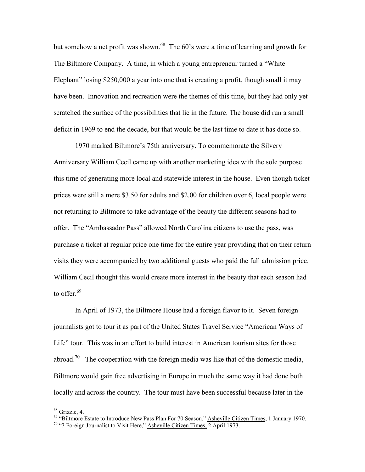but somehow a net profit was shown.<sup>68</sup> The 60's were a time of learning and growth for The Biltmore Company. A time, in which a young entrepreneur turned a "White Elephant" losing \$250,000 a year into one that is creating a profit, though small it may have been. Innovation and recreation were the themes of this time, but they had only yet scratched the surface of the possibilities that lie in the future. The house did run a small deficit in 1969 to end the decade, but that would be the last time to date it has done so.

1970 marked Biltmore's 75th anniversary. To commemorate the Silvery Anniversary William Cecil came up with another marketing idea with the sole purpose this time of generating more local and statewide interest in the house. Even though ticket prices were still a mere \$3.50 for adults and \$2.00 for children over 6, local people were not returning to Biltmore to take advantage of the beauty the different seasons had to offer. The "Ambassador Pass" allowed North Carolina citizens to use the pass, was purchase a ticket at regular price one time for the entire year providing that on their return visits they were accompanied by two additional guests who paid the full admission price. William Cecil thought this would create more interest in the beauty that each season had to offer. $69$ 

In April of 1973, the Biltmore House had a foreign flavor to it. Seven foreign journalists got to tour it as part of the United States Travel Service "American Ways of Life" tour. This was in an effort to build interest in American tourism sites for those abroad.<sup>70</sup> The cooperation with the foreign media was like that of the domestic media, Biltmore would gain free advertising in Europe in much the same way it had done both locally and across the country. The tour must have been successful because later in the

<sup>68</sup> Grizzle, 4.

<sup>&</sup>lt;sup>69</sup> "Biltmore Estate to Introduce New Pass Plan For 70 Season," Asheville Citizen Times, 1 January 1970. <sup>70</sup> "7 Foreign Journalist to Visit Here," **Asheville Citizen Times**, 2 April 1973.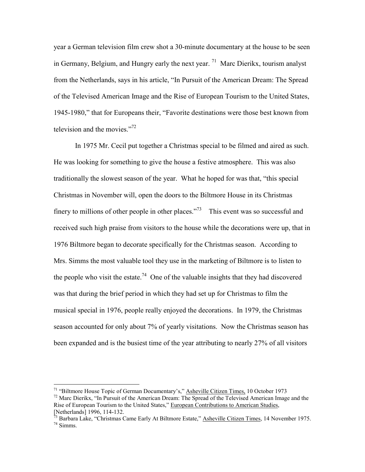year a German television film crew shot a 30-minute documentary at the house to be seen in Germany, Belgium, and Hungry early the next year.  $^{71}$  Marc Dierikx, tourism analyst from the Netherlands, says in his article, "In Pursuit of the American Dream: The Spread of the Televised American Image and the Rise of European Tourism to the United States, 1945-1980," that for Europeans their, "Favorite destinations were those best known from television and the movies." $72$ 

In 1975 Mr. Cecil put together a Christmas special to be filmed and aired as such. He was looking for something to give the house a festive atmosphere. This was also traditionally the slowest season of the year. What he hoped for was that, "this special Christmas in November will, open the doors to the Biltmore House in its Christmas finery to millions of other people in other places."<sup>73</sup> This event was so successful and received such high praise from visitors to the house while the decorations were up, that in 1976 Biltmore began to decorate specifically for the Christmas season. According to Mrs. Simms the most valuable tool they use in the marketing of Biltmore is to listen to the people who visit the estate.<sup>74</sup> One of the valuable insights that they had discovered was that during the brief period in which they had set up for Christmas to film the musical special in 1976, people really enjoyed the decorations. In 1979, the Christmas season accounted for only about 7% of yearly visitations. Now the Christmas season has been expanded and is the busiest time of the year attributing to nearly 27% of all visitors

<sup>&</sup>lt;sup>71</sup> "Biltmore House Topic of German Documentary's," Asheville Citizen Times, 10 October 1973

<sup>&</sup>lt;sup>72</sup> Marc Dierikx, "In Pursuit of the American Dream: The Spread of the Televised American Image and the Rise of European Tourism to the United States," European Contributions to American Studies, [Netherlands] 1996, 114-132.

<sup>&</sup>lt;sup>73</sup> Barbara Lake, "Christmas Came Early At Biltmore Estate," Asheville Citizen Times, 14 November 1975. <sup>74</sup> Simms.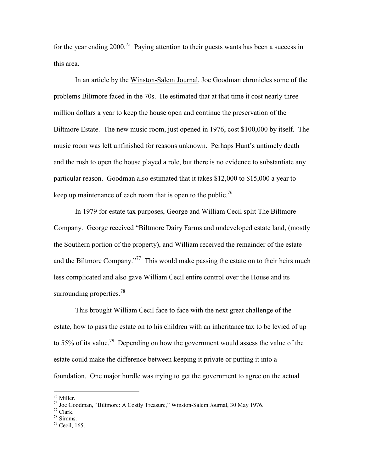for the year ending  $2000$ .<sup>75</sup> Paying attention to their guests wants has been a success in this area.

In an article by the Winston-Salem Journal, Joe Goodman chronicles some of the problems Biltmore faced in the 70s. He estimated that at that time it cost nearly three million dollars a year to keep the house open and continue the preservation of the Biltmore Estate. The new music room, just opened in 1976, cost \$100,000 by itself. The music room was left unfinished for reasons unknown. Perhaps Hunt's untimely death and the rush to open the house played a role, but there is no evidence to substantiate any particular reason. Goodman also estimated that it takes \$12,000 to \$15,000 a year to keep up maintenance of each room that is open to the public.<sup>76</sup>

In 1979 for estate tax purposes, George and William Cecil split The Biltmore Company. George received "Biltmore Dairy Farms and undeveloped estate land, (mostly the Southern portion of the property), and William received the remainder of the estate and the Biltmore Company."<sup>77</sup> This would make passing the estate on to their heirs much less complicated and also gave William Cecil entire control over the House and its surrounding properties.<sup>78</sup>

This brought William Cecil face to face with the next great challenge of the estate, how to pass the estate on to his children with an inheritance tax to be levied of up to 55% of its value.<sup>79</sup> Depending on how the government would assess the value of the estate could make the difference between keeping it private or putting it into a foundation. One major hurdle was trying to get the government to agree on the actual

l

- $77$  Clark.
- $78$  Simms.

<sup>75</sup> Miller.

<sup>&</sup>lt;sup>76</sup> Joe Goodman, "Biltmore: A Costly Treasure," Winston-Salem Journal, 30 May 1976.

 $79$  Cecil, 165.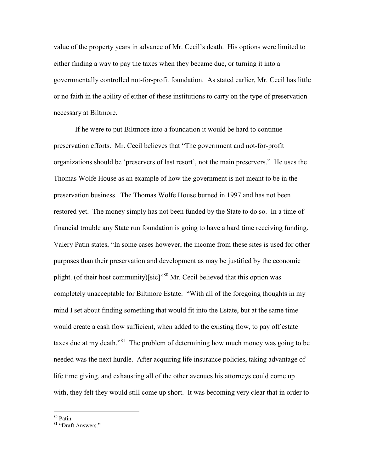value of the property years in advance of Mr. Cecil's death. His options were limited to either finding a way to pay the taxes when they became due, or turning it into a governmentally controlled not-for-profit foundation. As stated earlier, Mr. Cecil has little or no faith in the ability of either of these institutions to carry on the type of preservation necessary at Biltmore.

If he were to put Biltmore into a foundation it would be hard to continue preservation efforts. Mr. Cecil believes that "The government and not-for-profit organizations should be 'preservers of last resort', not the main preservers." He uses the Thomas Wolfe House as an example of how the government is not meant to be in the preservation business. The Thomas Wolfe House burned in 1997 and has not been restored yet. The money simply has not been funded by the State to do so. In a time of financial trouble any State run foundation is going to have a hard time receiving funding. Valery Patin states, "In some cases however, the income from these sites is used for other purposes than their preservation and development as may be justified by the economic plight. (of their host community)[sic]<sup> $m80$ </sup> Mr. Cecil believed that this option was completely unacceptable for Biltmore Estate. "With all of the foregoing thoughts in my mind I set about finding something that would fit into the Estate, but at the same time would create a cash flow sufficient, when added to the existing flow, to pay off estate taxes due at my death.<sup>81</sup> The problem of determining how much money was going to be needed was the next hurdle. After acquiring life insurance policies, taking advantage of life time giving, and exhausting all of the other avenues his attorneys could come up with, they felt they would still come up short. It was becoming very clear that in order to

<sup>80</sup> Patin.

<sup>&</sup>lt;sup>81</sup> "Draft Answers."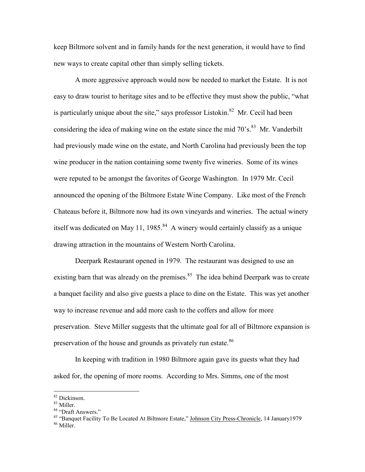keep Biltmore solvent and in family hands for the next generation, it would have to find new ways to create capital other than simply selling tickets.

A more aggressive approach would now be needed to market the Estate. It is not easy to draw tourist to heritage sites and to be effective they must show the public, "what is particularly unique about the site," says professor Listokin.<sup>82</sup> Mr. Cecil had been considering the idea of making wine on the estate since the mid  $70^{\circ}$ s.<sup>83</sup> Mr. Vanderbilt had previously made wine on the estate, and North Carolina had previously been the top wine producer in the nation containing some twenty five wineries. Some of its wines were reputed to be amongst the favorites of George Washington. In 1979 Mr. Cecil announced the opening of the Biltmore Estate Wine Company. Like most of the French Chateaus before it, Biltmore now had its own vineyards and wineries. The actual winery itself was dedicated on May 11, 1985.<sup>84</sup> A winery would certainly classify as a unique drawing attraction in the mountains of Western North Carolina.

 Deerpark Restaurant opened in 1979. The restaurant was designed to use an existing barn that was already on the premises.<sup>85</sup> The idea behind Deerpark was to create a banquet facility and also give guests a place to dine on the Estate. This was yet another way to increase revenue and add more cash to the coffers and allow for more preservation. Steve Miller suggests that the ultimate goal for all of Biltmore expansion is preservation of the house and grounds as privately run estate.<sup>86</sup>

In keeping with tradition in 1980 Biltmore again gave its guests what they had asked for, the opening of more rooms. According to Mrs. Simms, one of the most

l

<sup>82</sup> Dickinson.

<sup>83</sup> Miller.

<sup>84 &</sup>quot;Draft Answers."

<sup>85 &</sup>quot;Banquet Facility To Be Located At Biltmore Estate," Johnson City Press-Chronicle, 14 January1979 <sup>86</sup> Miller.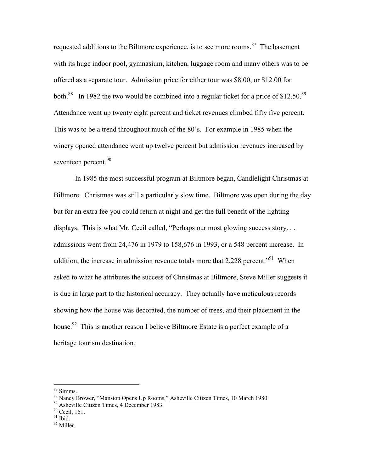requested additions to the Biltmore experience, is to see more rooms.<sup>87</sup> The basement with its huge indoor pool, gymnasium, kitchen, luggage room and many others was to be offered as a separate tour. Admission price for either tour was \$8.00, or \$12.00 for both.<sup>88</sup> In 1982 the two would be combined into a regular ticket for a price of \$12.50.<sup>89</sup> Attendance went up twenty eight percent and ticket revenues climbed fifty five percent. This was to be a trend throughout much of the 80's. For example in 1985 when the winery opened attendance went up twelve percent but admission revenues increased by seventeen percent.<sup>90</sup>

 In 1985 the most successful program at Biltmore began, Candlelight Christmas at Biltmore. Christmas was still a particularly slow time. Biltmore was open during the day but for an extra fee you could return at night and get the full benefit of the lighting displays. This is what Mr. Cecil called, "Perhaps our most glowing success story... admissions went from 24,476 in 1979 to 158,676 in 1993, or a 548 percent increase. In addition, the increase in admission revenue totals more that  $2.228$  percent.<sup> $.91$ </sup> When asked to what he attributes the success of Christmas at Biltmore, Steve Miller suggests it is due in large part to the historical accuracy. They actually have meticulous records showing how the house was decorated, the number of trees, and their placement in the house.<sup>92</sup> This is another reason I believe Biltmore Estate is a perfect example of a heritage tourism destination.

<sup>87</sup> Simms.

<sup>&</sup>lt;sup>88</sup> Nancy Brower, "Mansion Opens Up Rooms," Asheville Citizen Times, 10 March 1980

<sup>89</sup> Asheville Citizen Times, 4 December 1983

<sup>90</sup> Cecil, 161.

 $91$  Ibid.

<sup>92</sup> Miller.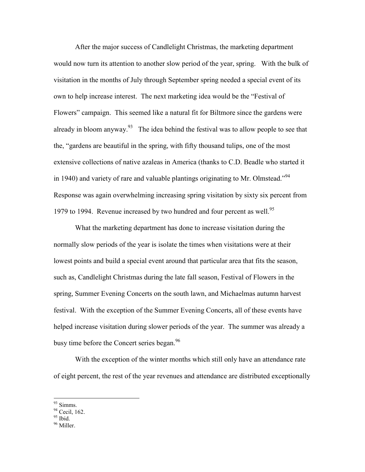After the major success of Candlelight Christmas, the marketing department would now turn its attention to another slow period of the year, spring. With the bulk of visitation in the months of July through September spring needed a special event of its own to help increase interest. The next marketing idea would be the "Festival of Flowers" campaign. This seemed like a natural fit for Biltmore since the gardens were already in bloom anyway.<sup>93</sup> The idea behind the festival was to allow people to see that the, "gardens are beautiful in the spring, with fifty thousand tulips, one of the most extensive collections of native azaleas in America (thanks to C.D. Beadle who started it in 1940) and variety of rare and valuable plantings originating to Mr. Olmstead."<sup>94</sup> Response was again overwhelming increasing spring visitation by sixty six percent from 1979 to 1994. Revenue increased by two hundred and four percent as well.<sup>95</sup>

 What the marketing department has done to increase visitation during the normally slow periods of the year is isolate the times when visitations were at their lowest points and build a special event around that particular area that fits the season, such as, Candlelight Christmas during the late fall season, Festival of Flowers in the spring, Summer Evening Concerts on the south lawn, and Michaelmas autumn harvest festival. With the exception of the Summer Evening Concerts, all of these events have helped increase visitation during slower periods of the year. The summer was already a busy time before the Concert series began.<sup>96</sup>

 With the exception of the winter months which still only have an attendance rate of eight percent, the rest of the year revenues and attendance are distributed exceptionally

<sup>93</sup> Simms.

<sup>&</sup>lt;sup>94</sup> Cecil, 162.

<sup>&</sup>lt;sup>95</sup> Ibid.

<sup>96</sup> Miller.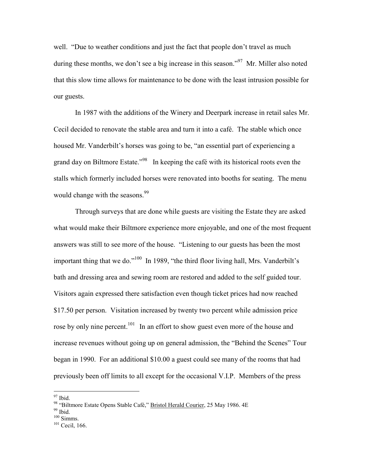well. "Due to weather conditions and just the fact that people don't travel as much during these months, we don't see a big increase in this season."<sup>97</sup> Mr. Miller also noted that this slow time allows for maintenance to be done with the least intrusion possible for our guests.

 In 1987 with the additions of the Winery and Deerpark increase in retail sales Mr. Cecil decided to renovate the stable area and turn it into a café. The stable which once housed Mr. Vanderbilt's horses was going to be, "an essential part of experiencing a grand day on Biltmore Estate.<sup>"98</sup> In keeping the café with its historical roots even the stalls which formerly included horses were renovated into booths for seating. The menu would change with the seasons.<sup>99</sup>

 Through surveys that are done while guests are visiting the Estate they are asked what would make their Biltmore experience more enjoyable, and one of the most frequent answers was still to see more of the house. "Listening to our guests has been the most important thing that we do."<sup>100</sup> In 1989, "the third floor living hall, Mrs. Vanderbilt's bath and dressing area and sewing room are restored and added to the self guided tour. Visitors again expressed there satisfaction even though ticket prices had now reached \$17.50 per person. Visitation increased by twenty two percent while admission price rose by only nine percent.<sup>101</sup> In an effort to show guest even more of the house and increase revenues without going up on general admission, the "Behind the Scenes" Tour began in 1990. For an additional \$10.00 a guest could see many of the rooms that had previously been off limits to all except for the occasional V.I.P. Members of the press

l

<sup>&</sup>lt;sup>97</sup> Ibid.

<sup>98 &</sup>quot;Biltmore Estate Opens Stable Café," Bristol Herald Courier, 25 May 1986. 4E

 $99$  Ibid.

 $100$  Simms.

<sup>&</sup>lt;sup>101</sup> Cecil, 166.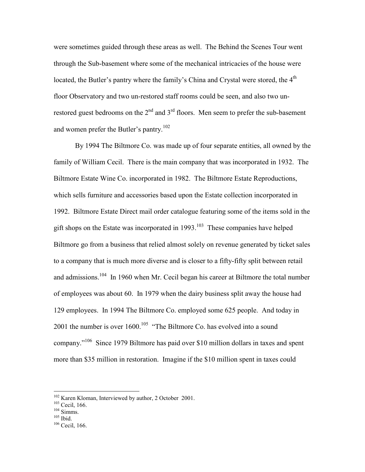were sometimes guided through these areas as well. The Behind the Scenes Tour went through the Sub-basement where some of the mechanical intricacies of the house were located, the Butler's pantry where the family's China and Crystal were stored, the 4<sup>th</sup> floor Observatory and two un-restored staff rooms could be seen, and also two unrestored guest bedrooms on the  $2<sup>nd</sup>$  and  $3<sup>rd</sup>$  floors. Men seem to prefer the sub-basement and women prefer the Butler's pantry.<sup>102</sup>

 By 1994 The Biltmore Co. was made up of four separate entities, all owned by the family of William Cecil. There is the main company that was incorporated in 1932. The Biltmore Estate Wine Co. incorporated in 1982. The Biltmore Estate Reproductions, which sells furniture and accessories based upon the Estate collection incorporated in 1992. Biltmore Estate Direct mail order catalogue featuring some of the items sold in the gift shops on the Estate was incorporated in  $1993$ .<sup>103</sup> These companies have helped Biltmore go from a business that relied almost solely on revenue generated by ticket sales to a company that is much more diverse and is closer to a fifty-fifty split between retail and admissions.<sup>104</sup> In 1960 when Mr. Cecil began his career at Biltmore the total number of employees was about 60. In 1979 when the dairy business split away the house had 129 employees. In 1994 The Biltmore Co. employed some 625 people. And today in 2001 the number is over  $1600$ .<sup>105</sup> "The Biltmore Co. has evolved into a sound company."<sup>106</sup> Since 1979 Biltmore has paid over \$10 million dollars in taxes and spent more than \$35 million in restoration. Imagine if the \$10 million spent in taxes could

l

<sup>&</sup>lt;sup>102</sup> Karen Kloman, Interviewed by author, 2 October 2001.

<sup>103</sup> Cecil, 166.

 $104$  Simms.

<sup>105</sup> Ibid.

<sup>&</sup>lt;sup>106</sup> Cecil, 166.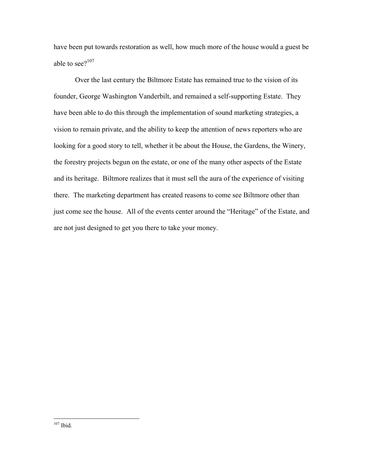have been put towards restoration as well, how much more of the house would a guest be able to see $2^{107}$ 

 Over the last century the Biltmore Estate has remained true to the vision of its founder, George Washington Vanderbilt, and remained a self-supporting Estate. They have been able to do this through the implementation of sound marketing strategies, a vision to remain private, and the ability to keep the attention of news reporters who are looking for a good story to tell, whether it be about the House, the Gardens, the Winery, the forestry projects begun on the estate, or one of the many other aspects of the Estate and its heritage. Biltmore realizes that it must sell the aura of the experience of visiting there. The marketing department has created reasons to come see Biltmore other than just come see the house. All of the events center around the "Heritage" of the Estate, and are not just designed to get you there to take your money.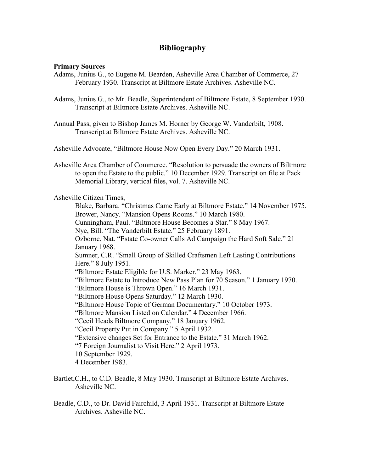### **Bibliography**

#### **Primary Sources**

- Adams, Junius G., to Eugene M. Bearden, Asheville Area Chamber of Commerce, 27 February 1930. Transcript at Biltmore Estate Archives. Asheville NC.
- Adams, Junius G., to Mr. Beadle, Superintendent of Biltmore Estate, 8 September 1930. Transcript at Biltmore Estate Archives. Asheville NC.
- Annual Pass, given to Bishop James M. Horner by George W. Vanderbilt, 1908. Transcript at Biltmore Estate Archives. Asheville NC.

Asheville Advocate, "Biltmore House Now Open Every Day." 20 March 1931.

Asheville Area Chamber of Commerce. "Resolution to persuade the owners of Biltmore to open the Estate to the public." 10 December 1929. Transcript on file at Pack Memorial Library, vertical files, vol. 7. Asheville NC.

Asheville Citizen Times,

 Blake, Barbara. "Christmas Came Early at Biltmore Estate." 14 November 1975. Brower, Nancy. "Mansion Opens Rooms." 10 March 1980. Cunningham, Paul. "Biltmore House Becomes a Star." 8 May 1967. Nye, Bill. "The Vanderbilt Estate." 25 February 1891. Ozborne, Nat. "Estate Co-owner Calls Ad Campaign the Hard Soft Sale." 21 January 1968. Sumner, C.R. "Small Group of Skilled Craftsmen Left Lasting Contributions Here." 8 July 1951. "Biltmore Estate Eligible for U.S. Marker." 23 May 1963. "Biltmore Estate to Introduce New Pass Plan for 70 Season." 1 January 1970. "Biltmore House is Thrown Open." 16 March 1931. "Biltmore House Opens Saturday." 12 March 1930. "Biltmore House Topic of German Documentary." 10 October 1973. "Biltmore Mansion Listed on Calendar." 4 December 1966. "Cecil Heads Biltmore Company." 18 January 1962. "Cecil Property Put in Company." 5 April 1932. "Extensive changes Set for Entrance to the Estate." 31 March 1962. "7 Foreign Journalist to Visit Here." 2 April 1973. 10 September 1929. 4 December 1983.

- Bartlet,C.H., to C.D. Beadle, 8 May 1930. Transcript at Biltmore Estate Archives. Asheville NC.
- Beadle, C.D., to Dr. David Fairchild, 3 April 1931. Transcript at Biltmore Estate Archives. Asheville NC.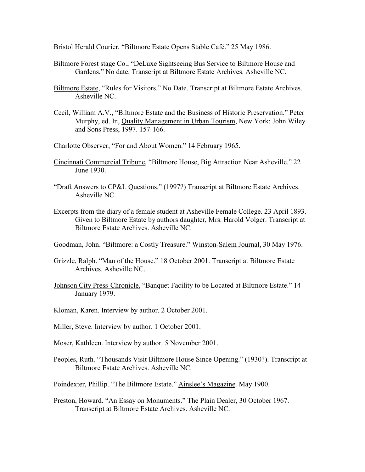Bristol Herald Courier, "Biltmore Estate Opens Stable Café." 25 May 1986.

- Biltmore Forest stage Co., "DeLuxe Sightseeing Bus Service to Biltmore House and Gardens." No date. Transcript at Biltmore Estate Archives. Asheville NC.
- Biltmore Estate, "Rules for Visitors." No Date. Transcript at Biltmore Estate Archives. Asheville NC.
- Cecil, William A.V., "Biltmore Estate and the Business of Historic Preservation." Peter Murphy, ed. In, Quality Management in Urban Tourism, New York: John Wiley and Sons Press, 1997. 157-166.

Charlotte Observer, "For and About Women." 14 February 1965.

- Cincinnati Commercial Tribune, "Biltmore House, Big Attraction Near Asheville." 22 June 1930.
- "Draft Answers to CP&L Questions." (1997?) Transcript at Biltmore Estate Archives. Asheville NC.
- Excerpts from the diary of a female student at Asheville Female College. 23 April 1893. Given to Biltmore Estate by authors daughter, Mrs. Harold Volger. Transcript at Biltmore Estate Archives. Asheville NC.

Goodman, John. "Biltmore: a Costly Treasure." Winston-Salem Journal, 30 May 1976.

- Grizzle, Ralph. "Man of the House." 18 October 2001. Transcript at Biltmore Estate Archives. Asheville NC.
- Johnson City Press-Chronicle, "Banquet Facility to be Located at Biltmore Estate." 14 January 1979.
- Kloman, Karen. Interview by author. 2 October 2001.
- Miller, Steve. Interview by author. 1 October 2001.
- Moser, Kathleen. Interview by author. 5 November 2001.
- Peoples, Ruth. "Thousands Visit Biltmore House Since Opening." (1930?). Transcript at Biltmore Estate Archives. Asheville NC.

Poindexter, Phillip. "The Biltmore Estate." Ainslee's Magazine. May 1900.

Preston, Howard. "An Essay on Monuments." The Plain Dealer, 30 October 1967. Transcript at Biltmore Estate Archives. Asheville NC.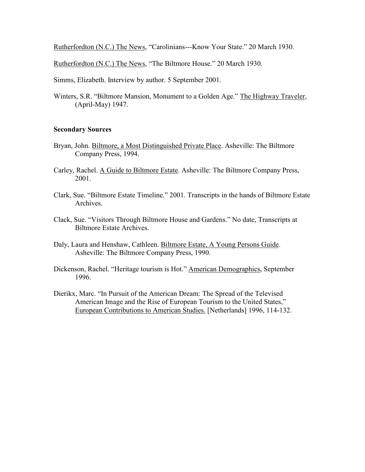Rutherfordton (N.C.) The News, "Carolinians---Know Your State." 20 March 1930.

Rutherfordton (N.C.) The News, "The Biltmore House." 20 March 1930.

Simms, Elizabeth. Interview by author. 5 September 2001.

Winters, S.R. "Biltmore Mansion, Monument to a Golden Age." The Highway Traveler, (April-May) 1947.

#### **Secondary Sources**

- Bryan, John. Biltmore, a Most Distinguished Private Place. Asheville: The Biltmore Company Press, 1994.
- Carley, Rachel. A Guide to Biltmore Estate. Asheville: The Biltmore Company Press, 2001.
- Clark, Sue. "Biltmore Estate Timeline." 2001. Transcripts in the hands of Biltmore Estate Archives.
- Clack, Sue. "Visitors Through Biltmore House and Gardens." No date, Transcripts at Biltmore Estate Archives.
- Daly, Laura and Henshaw, Cathleen. Biltmore Estate, A Young Persons Guide. Asheville: The Biltmore Company Press, 1990.
- Dickenson, Rachel. "Heritage tourism is Hot." American Demographics, September 1996.
- Dierikx, Marc. "In Pursuit of the American Dream: The Spread of the Televised American Image and the Rise of European Tourism to the United States," European Contributions to American Studies. [Netherlands] 1996, 114-132.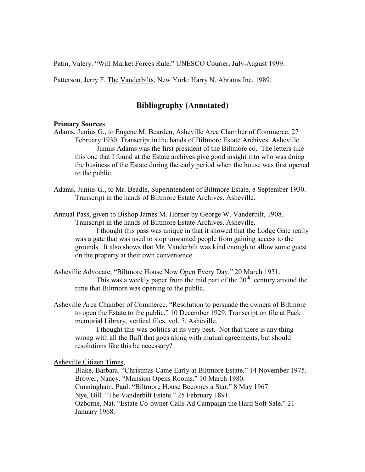Patin, Valery. "Will Market Forces Rule." UNESCO Courier, July-August 1999.

Patterson, Jerry F. The Vanderbilts, New York: Harry N. Abrams Inc. 1989.

## **Bibliography (Annotated)**

#### **Primary Sources**

- Adams, Junius G., to Eugene M. Bearden, Asheville Area Chamber of Commerce, 27 February 1930. Transcript in the hands of Biltmore Estate Archives. Asheville. Junuis Adams was the first president of the Biltmore co. The letters like this one that I found at the Estate archives give good insight into who was doing the business of the Estate during the early period when the house was first opened to the public.
- Adams, Junius G., to Mr. Beadle, Superintendent of Biltmore Estate, 8 September 1930. Transcript in the hands of Biltmore Estate Archives. Asheville.

Annual Pass, given to Bishop James M. Horner by George W. Vanderbilt, 1908. Transcript in the hands of Biltmore Estate Archives. Asheville.

 I thought this pass was unique in that it showed that the Lodge Gate really was a gate that was used to stop unwanted people from gaining access to the grounds. It also shows that Mr. Vanderbilt was kind enough to allow some guest on the property at their own convenience.

Asheville Advocate, "Biltmore House Now Open Every Day." 20 March 1931.

This was a weekly paper from the mid part of the  $20<sup>th</sup>$  century around the time that Biltmore was opening to the public.

Asheville Area Chamber of Commerce. "Resolution to persuade the owners of Biltmore to open the Estate to the public." 10 December 1929. Transcript on file at Pack memorial Library, vertical files, vol. 7. Asheville.

 I thought this was politics at its very best. Not that there is any thing wrong with all the fluff that goes along with mutual agreements, but should resolutions like this be necessary?

Asheville Citizen Times,

 Blake, Barbara. "Christmas Came Early at Biltmore Estate." 14 November 1975. Brower, Nancy. "Mansion Opens Rooms." 10 March 1980. Cunningham, Paul. "Biltmore House Becomes a Star." 8 May 1967. Nye, Bill. "The Vanderbilt Estate." 25 February 1891. Ozborne, Nat. "Estate Co-owner Calls Ad Campaign the Hard Soft Sale." 21 January 1968.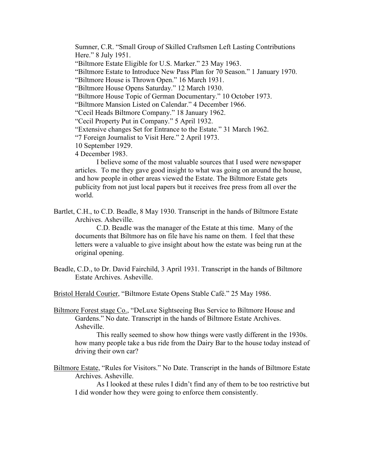Sumner, C.R. "Small Group of Skilled Craftsmen Left Lasting Contributions Here." 8 July 1951. "Biltmore Estate Eligible for U.S. Marker." 23 May 1963. "Biltmore Estate to Introduce New Pass Plan for 70 Season." 1 January 1970. "Biltmore House is Thrown Open." 16 March 1931. "Biltmore House Opens Saturday." 12 March 1930. "Biltmore House Topic of German Documentary." 10 October 1973. "Biltmore Mansion Listed on Calendar." 4 December 1966. "Cecil Heads Biltmore Company." 18 January 1962. "Cecil Property Put in Company." 5 April 1932. "Extensive changes Set for Entrance to the Estate." 31 March 1962. "7 Foreign Journalist to Visit Here." 2 April 1973. 10 September 1929. 4 December 1983.

 I believe some of the most valuable sources that I used were newspaper articles. To me they gave good insight to what was going on around the house, and how people in other areas viewed the Estate. The Biltmore Estate gets publicity from not just local papers but it receives free press from all over the world.

Bartlet, C.H., to C.D. Beadle, 8 May 1930. Transcript in the hands of Biltmore Estate Archives. Asheville.

 C.D. Beadle was the manager of the Estate at this time. Many of the documents that Biltmore has on file have his name on them. I feel that these letters were a valuable to give insight about how the estate was being run at the original opening.

Beadle, C.D., to Dr. David Fairchild, 3 April 1931. Transcript in the hands of Biltmore Estate Archives. Asheville.

Bristol Herald Courier, "Biltmore Estate Opens Stable Café." 25 May 1986.

Biltmore Forest stage Co., "DeLuxe Sightseeing Bus Service to Biltmore House and Gardens." No date. Transcript in the hands of Biltmore Estate Archives. Asheville.

 This really seemed to show how things were vastly different in the 1930s. how many people take a bus ride from the Dairy Bar to the house today instead of driving their own car?

Biltmore Estate, "Rules for Visitors." No Date. Transcript in the hands of Biltmore Estate Archives. Asheville.

 As I looked at these rules I didn't find any of them to be too restrictive but I did wonder how they were going to enforce them consistently.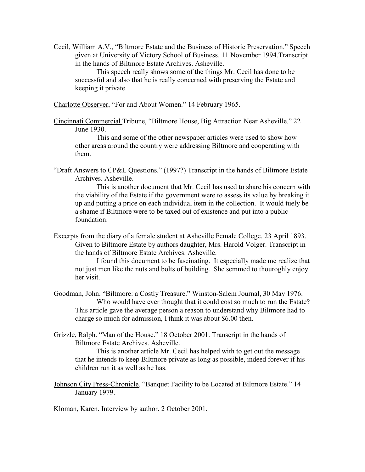Cecil, William A.V., "Biltmore Estate and the Business of Historic Preservation." Speech given at University of Victory School of Business. 11 November 1994.Transcript in the hands of Biltmore Estate Archives. Asheville.

 This speech really shows some of the things Mr. Cecil has done to be successful and also that he is really concerned with preserving the Estate and keeping it private.

Charlotte Observer, "For and About Women." 14 February 1965.

Cincinnati Commercial Tribune, "Biltmore House, Big Attraction Near Asheville." 22 June 1930.

 This and some of the other newspaper articles were used to show how other areas around the country were addressing Biltmore and cooperating with them.

"Draft Answers to CP&L Questions." (1997?) Transcript in the hands of Biltmore Estate Archives. Asheville.

 This is another document that Mr. Cecil has used to share his concern with the viability of the Estate if the government were to assess its value by breaking it up and putting a price on each individual item in the collection. It would tuely be a shame if Biltmore were to be taxed out of existence and put into a public foundation.

Excerpts from the diary of a female student at Asheville Female College. 23 April 1893. Given to Biltmore Estate by authors daughter, Mrs. Harold Volger. Transcript in the hands of Biltmore Estate Archives. Asheville.

 I found this document to be fascinating. It especially made me realize that not just men like the nuts and bolts of building. She semmed to thouroghly enjoy her visit.

- Goodman, John. "Biltmore: a Costly Treasure." Winston-Salem Journal, 30 May 1976. Who would have ever thought that it could cost so much to run the Estate? This article gave the average person a reason to understand why Biltmore had to charge so much for admission, I think it was about \$6.00 then.
- Grizzle, Ralph. "Man of the House." 18 October 2001. Transcript in the hands of Biltmore Estate Archives. Asheville.

 This is another article Mr. Cecil has helped with to get out the message that he intends to keep Biltmore private as long as possible, indeed forever if his children run it as well as he has.

Johnson City Press-Chronicle, "Banquet Facility to be Located at Biltmore Estate." 14 January 1979.

Kloman, Karen. Interview by author. 2 October 2001.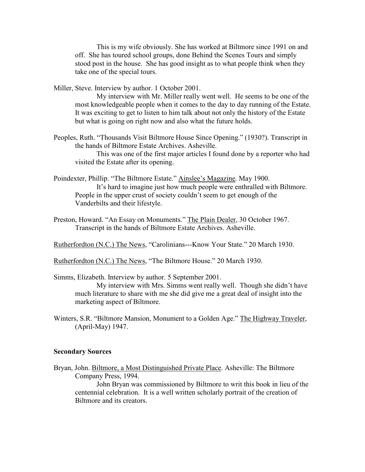This is my wife obviously. She has worked at Biltmore since 1991 on and off. She has toured school groups, done Behind the Scenes Tours and simply stood post in the house. She has good insight as to what people think when they take one of the special tours.

Miller, Steve. Interview by author. 1 October 2001.

 My interview with Mr. Miller really went well. He seems to be one of the most knowledgeable people when it comes to the day to day running of the Estate. It was exciting to get to listen to him talk about not only the history of the Estate but what is going on right now and also what the future holds.

Peoples, Ruth. "Thousands Visit Biltmore House Since Opening." (1930?). Transcript in the hands of Biltmore Estate Archives. Asheville.

 This was one of the first major articles I found done by a reporter who had visited the Estate after its opening.

- Poindexter, Phillip. "The Biltmore Estate." Ainslee's Magazine. May 1900. It's hard to imagine just how much people were enthralled with Biltmore. People in the upper crust of society couldn't seem to get enough of the Vanderbilts and their lifestyle.
- Preston, Howard. "An Essay on Monuments." The Plain Dealer, 30 October 1967. Transcript in the hands of Biltmore Estate Archives. Asheville.

Rutherfordton (N.C.) The News, "Carolinians---Know Your State." 20 March 1930.

Rutherfordton (N.C.) The News, "The Biltmore House." 20 March 1930.

Simms, Elizabeth. Interview by author. 5 September 2001.

 My interview with Mrs. Simms went really well. Though she didn't have much literature to share with me she did give me a great deal of insight into the marketing aspect of Biltmore.

Winters, S.R. "Biltmore Mansion, Monument to a Golden Age." The Highway Traveler, (April-May) 1947.

#### **Secondary Sources**

Bryan, John. Biltmore, a Most Distinguished Private Place. Asheville: The Biltmore Company Press, 1994.

 John Bryan was commissioned by Biltmore to writ this book in lieu of the centennial celebration. It is a well written scholarly portrait of the creation of Biltmore and its creators.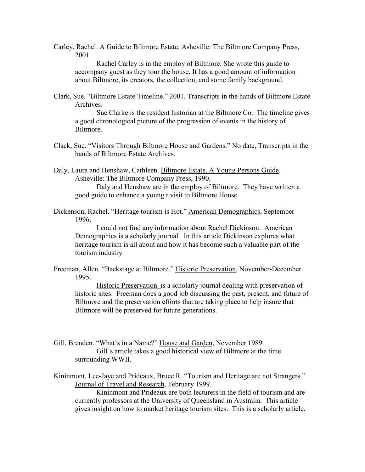Carley, Rachel. A Guide to Biltmore Estate. Asheville: The Biltmore Company Press, 2001.

 Rachel Carley is in the employ of Biltmore. She wrote this guide to accompany guest as they tour the house. It has a good amount of information about Biltmore, its creators, the collection, and some family background.

Clark, Sue. "Biltmore Estate Timeline." 2001. Transcripts in the hands of Biltmore Estate Archives.

 Sue Clarke is the resident historian at the Biltmore Co. The timeline gives a good chronological picture of the progression of events in the history of **Biltmore** 

Clack, Sue. "Visitors Through Biltmore House and Gardens." No date, Transcripts in the hands of Biltmore Estate Archives.

Daly, Laura and Henshaw, Cathleen. Biltmore Estate, A Young Persons Guide. Asheville: The Biltmore Company Press, 1990.

 Daly and Henshaw are in the employ of Biltmore. They have written a good guide to enhance a young r visit to Biltmore House.

Dickenson, Rachel. "Heritage tourism is Hot." American Demographics, September 1996.

 I could not find any information about Rachel Dickinson. American Demographics is a scholarly journal. In this article Dickinson explores what heritage tourism is all about and how it has become such a valuable part of the tourism industry.

Freeman, Allen. "Backstage at Biltmore." Historic Preservation, November-December 1995.

 Historic Preservation is a scholarly journal dealing with preservation of historic sites. Freeman does a good job discussing the past, present, and future of Biltmore and the preservation efforts that are taking place to help insure that Biltmore will be preserved for future generations.

- Gill, Brenden. "What's in a Name?" House and Garden, November 1989. Gill's article takes a good historical view of Biltmore at the time surrounding WWII.
- Kininmont, Lee-Jaye and Prideaux, Bruce R. "Tourism and Heritage are not Strangers." Journal of Travel and Research, February 1999.

 Kininmont and Prideaux are both lecturers in the field of tourism and are currently professors at the University of Queensland in Australia. This article gives insight on how to market heritage tourism sites. This is a scholarly article.